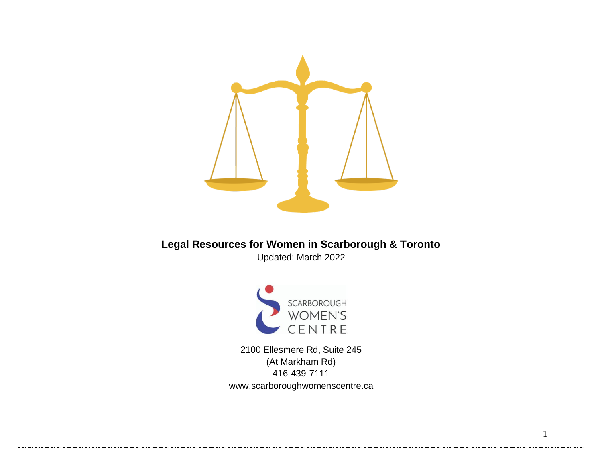

### **Legal Resources for Women in Scarborough & Toronto**  Updated: March 2022



2100 Ellesmere Rd, Suite 245 (At Markham Rd) 416-439-7111 www.scarboroughwomenscentre.ca

1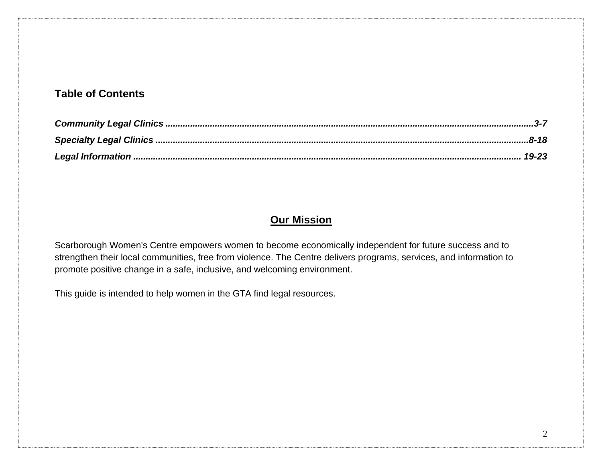#### **Table of Contents**

#### **Our Mission**

Scarborough Women's Centre empowers women to become economically independent for future success and to strengthen their local communities, free from violence. The Centre delivers programs, services, and information to promote positive change in a safe, inclusive, and welcoming environment.

<span id="page-1-0"></span>This guide is intended to help women in the GTA find legal resources.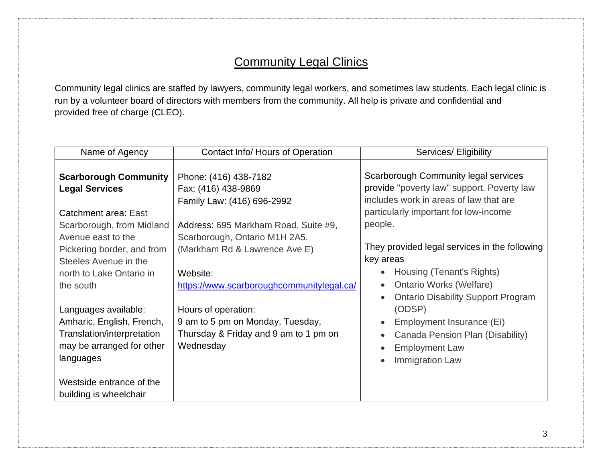## **Community Legal Clinics**

Community legal clinics are staffed by lawyers, community legal workers, and sometimes law students. Each legal clinic is run by a volunteer board of directors with members from the community. All help is private and confidential and provided free of charge (CLEO).

| Name of Agency                                                                                                            | Contact Info/ Hours of Operation                                                                                        | Services/ Eligibility                                                                                                                                                                                                                    |  |
|---------------------------------------------------------------------------------------------------------------------------|-------------------------------------------------------------------------------------------------------------------------|------------------------------------------------------------------------------------------------------------------------------------------------------------------------------------------------------------------------------------------|--|
| <b>Scarborough Community</b><br><b>Legal Services</b><br>Catchment area: East<br>Scarborough, from Midland                | Phone: (416) 438-7182<br>Fax: (416) 438-9869<br>Family Law: (416) 696-2992<br>Address: 695 Markham Road, Suite #9,      | Scarborough Community legal services<br>provide "poverty law" support. Poverty law<br>includes work in areas of law that are<br>particularly important for low-income<br>people.                                                         |  |
| Avenue east to the<br>Pickering border, and from<br>Steeles Avenue in the<br>north to Lake Ontario in<br>the south        | Scarborough, Ontario M1H 2A5.<br>(Markham Rd & Lawrence Ave E)<br>Website:<br>https://www.scarboroughcommunitylegal.ca/ | They provided legal services in the following<br>key areas<br>Housing (Tenant's Rights)<br>$\bullet$<br><b>Ontario Works (Welfare)</b><br>$\bullet$                                                                                      |  |
| Languages available:<br>Amharic, English, French,<br>Translation/interpretation<br>may be arranged for other<br>languages | Hours of operation:<br>9 am to 5 pm on Monday, Tuesday,<br>Thursday & Friday and 9 am to 1 pm on<br>Wednesday           | <b>Ontario Disability Support Program</b><br>$\bullet$<br>(ODSP)<br>Employment Insurance (EI)<br>$\bullet$<br>Canada Pension Plan (Disability)<br>$\bullet$<br><b>Employment Law</b><br>$\bullet$<br><b>Immigration Law</b><br>$\bullet$ |  |
| Westside entrance of the<br>building is wheelchair                                                                        |                                                                                                                         |                                                                                                                                                                                                                                          |  |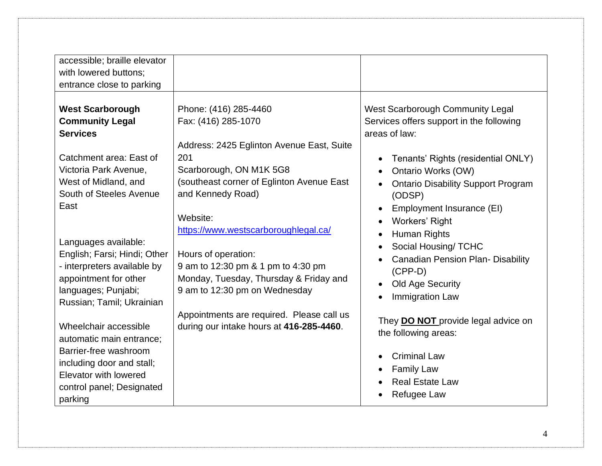| accessible; braille elevator<br>with lowered buttons;<br>entrance close to parking                                                                                                  |                                                                                                                                                                                                           |                                                                                                                                                                                                                                                                                     |
|-------------------------------------------------------------------------------------------------------------------------------------------------------------------------------------|-----------------------------------------------------------------------------------------------------------------------------------------------------------------------------------------------------------|-------------------------------------------------------------------------------------------------------------------------------------------------------------------------------------------------------------------------------------------------------------------------------------|
| <b>West Scarborough</b><br><b>Community Legal</b><br><b>Services</b><br>Catchment area: East of<br>Victoria Park Avenue,<br>West of Midland, and<br>South of Steeles Avenue<br>East | Phone: (416) 285-4460<br>Fax: (416) 285-1070<br>Address: 2425 Eglinton Avenue East, Suite<br>201<br>Scarborough, ON M1K 5G8<br>(southeast corner of Eglinton Avenue East<br>and Kennedy Road)<br>Website: | West Scarborough Community Legal<br>Services offers support in the following<br>areas of law:<br>Tenants' Rights (residential ONLY)<br>$\bullet$<br>Ontario Works (OW)<br><b>Ontario Disability Support Program</b><br>(ODSP)<br>Employment Insurance (EI)<br><b>Workers' Right</b> |
| Languages available:<br>English; Farsi; Hindi; Other<br>- interpreters available by<br>appointment for other<br>languages; Punjabi;<br>Russian; Tamil; Ukrainian                    | https://www.westscarboroughlegal.ca/<br>Hours of operation:<br>9 am to 12:30 pm & 1 pm to 4:30 pm<br>Monday, Tuesday, Thursday & Friday and<br>9 am to 12:30 pm on Wednesday                              | Human Rights<br>$\bullet$<br>Social Housing/ TCHC<br><b>Canadian Pension Plan- Disability</b><br>$(CPP-D)$<br>Old Age Security<br>Immigration Law<br>$\bullet$                                                                                                                      |
| Wheelchair accessible<br>automatic main entrance;<br>Barrier-free washroom<br>including door and stall;<br>Elevator with lowered<br>control panel; Designated<br>parking            | Appointments are required. Please call us<br>during our intake hours at 416-285-4460.                                                                                                                     | They <b>DO NOT</b> provide legal advice on<br>the following areas:<br><b>Criminal Law</b><br>$\bullet$<br><b>Family Law</b><br><b>Real Estate Law</b><br>Refugee Law                                                                                                                |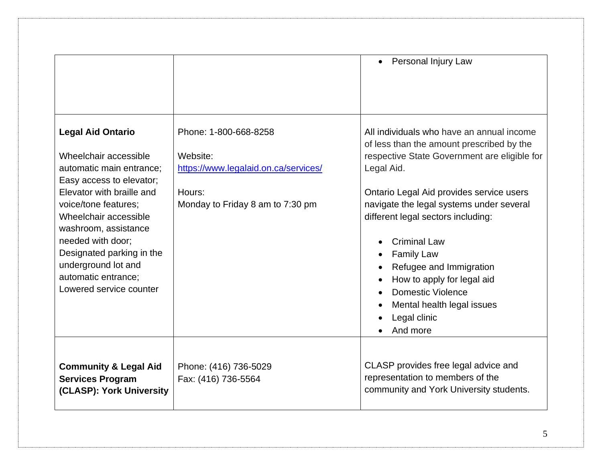|                                                                                                                                                                                                                                                                                                                                            |                                                                                                                         | Personal Injury Law<br>$\bullet$                                                                                                                                                                                                                                                                                                                                                                                                                                                                 |
|--------------------------------------------------------------------------------------------------------------------------------------------------------------------------------------------------------------------------------------------------------------------------------------------------------------------------------------------|-------------------------------------------------------------------------------------------------------------------------|--------------------------------------------------------------------------------------------------------------------------------------------------------------------------------------------------------------------------------------------------------------------------------------------------------------------------------------------------------------------------------------------------------------------------------------------------------------------------------------------------|
| <b>Legal Aid Ontario</b><br>Wheelchair accessible<br>automatic main entrance;<br>Easy access to elevator;<br>Elevator with braille and<br>voice/tone features;<br>Wheelchair accessible<br>washroom, assistance<br>needed with door;<br>Designated parking in the<br>underground lot and<br>automatic entrance;<br>Lowered service counter | Phone: 1-800-668-8258<br>Website:<br>https://www.legalaid.on.ca/services/<br>Hours:<br>Monday to Friday 8 am to 7:30 pm | All individuals who have an annual income<br>of less than the amount prescribed by the<br>respective State Government are eligible for<br>Legal Aid.<br>Ontario Legal Aid provides service users<br>navigate the legal systems under several<br>different legal sectors including:<br><b>Criminal Law</b><br><b>Family Law</b><br>$\bullet$<br>Refugee and Immigration<br>How to apply for legal aid<br>Domestic Violence<br>$\bullet$<br>Mental health legal issues<br>Legal clinic<br>And more |
| <b>Community &amp; Legal Aid</b><br><b>Services Program</b><br>(CLASP): York University                                                                                                                                                                                                                                                    | Phone: (416) 736-5029<br>Fax: (416) 736-5564                                                                            | CLASP provides free legal advice and<br>representation to members of the<br>community and York University students.                                                                                                                                                                                                                                                                                                                                                                              |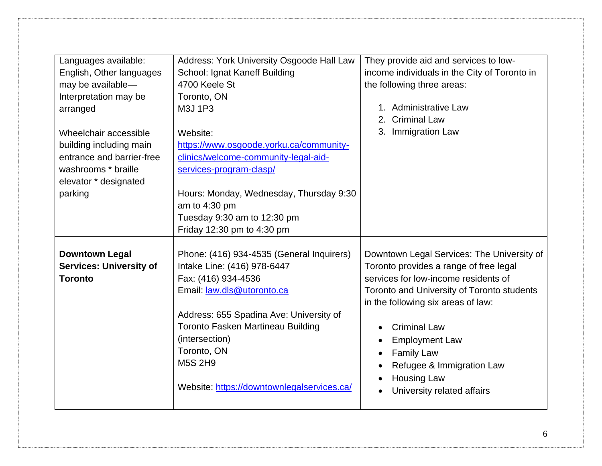| Languages available:<br>English, Other languages<br>may be available-<br>Interpretation may be<br>arranged<br>Wheelchair accessible<br>building including main<br>entrance and barrier-free<br>washrooms * braille<br>elevator * designated<br>parking | Address: York University Osgoode Hall Law<br>School: Ignat Kaneff Building<br>4700 Keele St<br>Toronto, ON<br>M3J 1P3<br>Website:<br>https://www.osgoode.yorku.ca/community-<br>clinics/welcome-community-legal-aid-<br>services-program-clasp/<br>Hours: Monday, Wednesday, Thursday 9:30<br>am to 4:30 pm<br>Tuesday 9:30 am to 12:30 pm          | They provide aid and services to low-<br>income individuals in the City of Toronto in<br>the following three areas:<br>1. Administrative Law<br><b>Criminal Law</b><br>3. Immigration Law                                                                                                                                                                                           |
|--------------------------------------------------------------------------------------------------------------------------------------------------------------------------------------------------------------------------------------------------------|-----------------------------------------------------------------------------------------------------------------------------------------------------------------------------------------------------------------------------------------------------------------------------------------------------------------------------------------------------|-------------------------------------------------------------------------------------------------------------------------------------------------------------------------------------------------------------------------------------------------------------------------------------------------------------------------------------------------------------------------------------|
| <b>Downtown Legal</b><br><b>Services: University of</b><br><b>Toronto</b>                                                                                                                                                                              | Friday 12:30 pm to 4:30 pm<br>Phone: (416) 934-4535 (General Inquirers)<br>Intake Line: (416) 978-6447<br>Fax: (416) 934-4536<br>Email: law.dls@utoronto.ca<br>Address: 655 Spadina Ave: University of<br><b>Toronto Fasken Martineau Building</b><br>(intersection)<br>Toronto, ON<br><b>M5S 2H9</b><br>Website: https://downtownlegalservices.ca/ | Downtown Legal Services: The University of<br>Toronto provides a range of free legal<br>services for low-income residents of<br>Toronto and University of Toronto students<br>in the following six areas of law:<br><b>Criminal Law</b><br><b>Employment Law</b><br>$\bullet$<br><b>Family Law</b><br>Refugee & Immigration Law<br><b>Housing Law</b><br>University related affairs |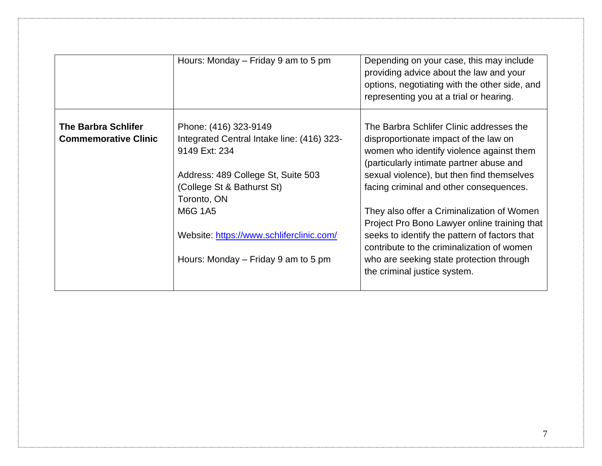<span id="page-6-0"></span>

|                                                           | Hours: Monday – Friday 9 am to 5 pm                                                                                                                                                                                                                                   | Depending on your case, this may include<br>providing advice about the law and your<br>options, negotiating with the other side, and<br>representing you at a trial or hearing.                                                                                                                                                                                                                                                                                                                                                             |
|-----------------------------------------------------------|-----------------------------------------------------------------------------------------------------------------------------------------------------------------------------------------------------------------------------------------------------------------------|---------------------------------------------------------------------------------------------------------------------------------------------------------------------------------------------------------------------------------------------------------------------------------------------------------------------------------------------------------------------------------------------------------------------------------------------------------------------------------------------------------------------------------------------|
| <b>The Barbra Schlifer</b><br><b>Commemorative Clinic</b> | Phone: (416) 323-9149<br>Integrated Central Intake line: (416) 323-<br>9149 Ext: 234<br>Address: 489 College St, Suite 503<br>(College St & Bathurst St)<br>Toronto, ON<br>M6G 1A5<br>Website: https://www.schliferclinic.com/<br>Hours: Monday – Friday 9 am to 5 pm | The Barbra Schlifer Clinic addresses the<br>disproportionate impact of the law on<br>women who identify violence against them<br>(particularly intimate partner abuse and<br>sexual violence), but then find themselves<br>facing criminal and other consequences.<br>They also offer a Criminalization of Women<br>Project Pro Bono Lawyer online training that<br>seeks to identify the pattern of factors that<br>contribute to the criminalization of women<br>who are seeking state protection through<br>the criminal justice system. |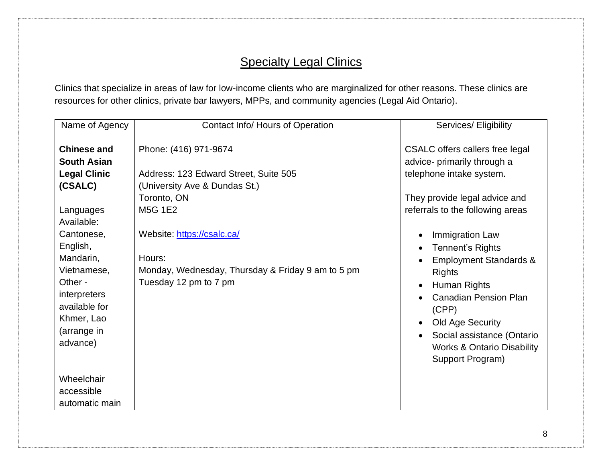## **Specialty Legal Clinics**

Clinics that specialize in areas of law for low-income clients who are marginalized for other reasons. These clinics are resources for other clinics, private bar lawyers, MPPs, and community agencies (Legal Aid Ontario).

| Name of Agency                                                                                                | Contact Info/ Hours of Operation                                                                | Services/ Eligibility                                                                                                                                                                                                                                                          |
|---------------------------------------------------------------------------------------------------------------|-------------------------------------------------------------------------------------------------|--------------------------------------------------------------------------------------------------------------------------------------------------------------------------------------------------------------------------------------------------------------------------------|
| <b>Chinese and</b><br><b>South Asian</b><br><b>Legal Clinic</b><br>(CSALC)                                    | Phone: (416) 971-9674<br>Address: 123 Edward Street, Suite 505<br>(University Ave & Dundas St.) | CSALC offers callers free legal<br>advice- primarily through a<br>telephone intake system.                                                                                                                                                                                     |
| Languages<br>Available:                                                                                       | Toronto, ON<br><b>M5G 1E2</b>                                                                   | They provide legal advice and<br>referrals to the following areas                                                                                                                                                                                                              |
| Cantonese,<br>English,                                                                                        | Website: https://csalc.ca/                                                                      | Immigration Law<br><b>Tennent's Rights</b><br>$\bullet$                                                                                                                                                                                                                        |
| Mandarin,<br>Vietnamese,<br>Other -<br>interpreters<br>available for<br>Khmer, Lao<br>(arrange in<br>advance) | Hours:<br>Monday, Wednesday, Thursday & Friday 9 am to 5 pm<br>Tuesday 12 pm to 7 pm            | <b>Employment Standards &amp;</b><br>$\bullet$<br><b>Rights</b><br>Human Rights<br>$\bullet$<br><b>Canadian Pension Plan</b><br>(CPP)<br>Old Age Security<br>$\bullet$<br>Social assistance (Ontario<br>$\bullet$<br><b>Works &amp; Ontario Disability</b><br>Support Program) |
| Wheelchair<br>accessible<br>automatic main                                                                    |                                                                                                 |                                                                                                                                                                                                                                                                                |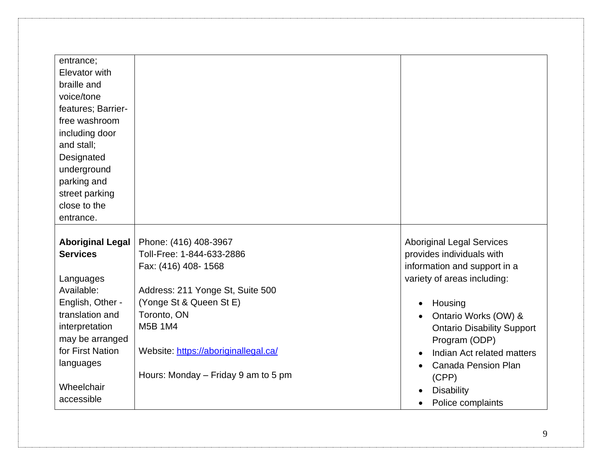| entrance;               |                                      |                                   |
|-------------------------|--------------------------------------|-----------------------------------|
| Elevator with           |                                      |                                   |
| braille and             |                                      |                                   |
| voice/tone              |                                      |                                   |
| features; Barrier-      |                                      |                                   |
| free washroom           |                                      |                                   |
| including door          |                                      |                                   |
| and stall;              |                                      |                                   |
| Designated              |                                      |                                   |
| underground             |                                      |                                   |
| parking and             |                                      |                                   |
| street parking          |                                      |                                   |
| close to the            |                                      |                                   |
| entrance.               |                                      |                                   |
|                         |                                      |                                   |
| <b>Aboriginal Legal</b> | Phone: (416) 408-3967                | <b>Aboriginal Legal Services</b>  |
| <b>Services</b>         | Toll-Free: 1-844-633-2886            | provides individuals with         |
|                         | Fax: (416) 408-1568                  | information and support in a      |
| Languages               |                                      | variety of areas including:       |
| Available:              | Address: 211 Yonge St, Suite 500     |                                   |
| English, Other -        | (Yonge St & Queen St E)              | Housing                           |
| translation and         | Toronto, ON                          | Ontario Works (OW) &              |
| interpretation          | M5B 1M4                              | <b>Ontario Disability Support</b> |
| may be arranged         |                                      | Program (ODP)                     |
| for First Nation        | Website: https://aboriginallegal.ca/ | Indian Act related matters        |
| languages               |                                      | <b>Canada Pension Plan</b>        |
|                         | Hours: Monday – Friday 9 am to 5 pm  | (CPP)                             |
| Wheelchair              |                                      | <b>Disability</b>                 |
| accessible              |                                      | Police complaints                 |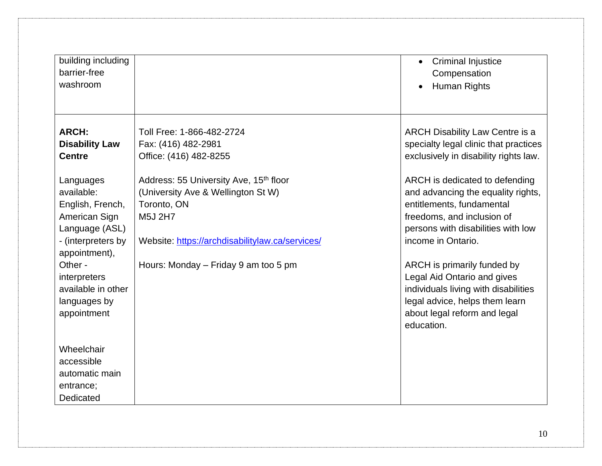| building including<br>barrier-free<br>washroom                                                                                                                                                        |                                                                                                                                                                                                               | <b>Criminal Injustice</b><br>Compensation<br>Human Rights                                                                                                                                                                                                                                                                                                                         |
|-------------------------------------------------------------------------------------------------------------------------------------------------------------------------------------------------------|---------------------------------------------------------------------------------------------------------------------------------------------------------------------------------------------------------------|-----------------------------------------------------------------------------------------------------------------------------------------------------------------------------------------------------------------------------------------------------------------------------------------------------------------------------------------------------------------------------------|
| <b>ARCH:</b><br><b>Disability Law</b><br><b>Centre</b>                                                                                                                                                | Toll Free: 1-866-482-2724<br>Fax: (416) 482-2981<br>Office: (416) 482-8255                                                                                                                                    | <b>ARCH Disability Law Centre is a</b><br>specialty legal clinic that practices<br>exclusively in disability rights law.                                                                                                                                                                                                                                                          |
| Languages<br>available:<br>English, French,<br>American Sign<br>Language (ASL)<br>- (interpreters by<br>appointment),<br>Other -<br>interpreters<br>available in other<br>languages by<br>appointment | Address: 55 University Ave, 15 <sup>th</sup> floor<br>(University Ave & Wellington St W)<br>Toronto, ON<br>M5J 2H7<br>Website: https://archdisabilitylaw.ca/services/<br>Hours: Monday – Friday 9 am too 5 pm | ARCH is dedicated to defending<br>and advancing the equality rights,<br>entitlements, fundamental<br>freedoms, and inclusion of<br>persons with disabilities with low<br>income in Ontario.<br>ARCH is primarily funded by<br>Legal Aid Ontario and gives<br>individuals living with disabilities<br>legal advice, helps them learn<br>about legal reform and legal<br>education. |
| Wheelchair<br>accessible<br>automatic main<br>entrance;<br>Dedicated                                                                                                                                  |                                                                                                                                                                                                               |                                                                                                                                                                                                                                                                                                                                                                                   |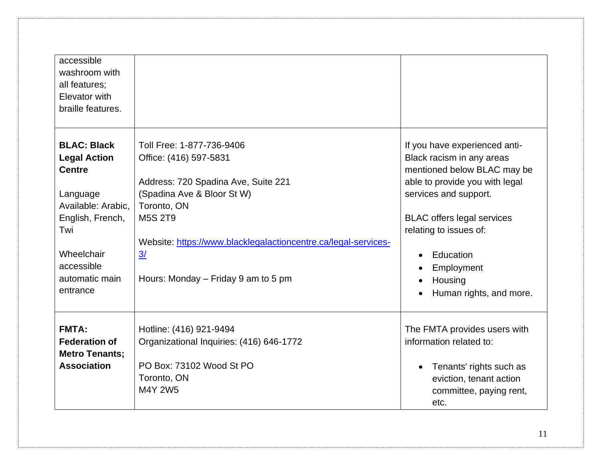| accessible<br>washroom with<br>all features;<br>Elevator with<br>braille features.                                                                                                |                                                                                                                                                                                                                                                                                     |                                                                                                                                                                                                                                                                                                   |
|-----------------------------------------------------------------------------------------------------------------------------------------------------------------------------------|-------------------------------------------------------------------------------------------------------------------------------------------------------------------------------------------------------------------------------------------------------------------------------------|---------------------------------------------------------------------------------------------------------------------------------------------------------------------------------------------------------------------------------------------------------------------------------------------------|
| <b>BLAC: Black</b><br><b>Legal Action</b><br><b>Centre</b><br>Language<br>Available: Arabic.<br>English, French,<br>Twi<br>Wheelchair<br>accessible<br>automatic main<br>entrance | Toll Free: 1-877-736-9406<br>Office: (416) 597-5831<br>Address: 720 Spadina Ave, Suite 221<br>(Spadina Ave & Bloor St W)<br>Toronto, ON<br><b>M5S 2T9</b><br>Website: https://www.blacklegalactioncentre.ca/legal-services-<br>$\frac{3}{2}$<br>Hours: Monday – Friday 9 am to 5 pm | If you have experienced anti-<br>Black racism in any areas<br>mentioned below BLAC may be<br>able to provide you with legal<br>services and support.<br><b>BLAC</b> offers legal services<br>relating to issues of:<br>Education<br>$\bullet$<br>Employment<br>Housing<br>Human rights, and more. |
| <b>FMTA:</b><br><b>Federation of</b><br><b>Metro Tenants;</b><br><b>Association</b>                                                                                               | Hotline: (416) 921-9494<br>Organizational Inquiries: (416) 646-1772<br>PO Box: 73102 Wood St PO<br>Toronto, ON<br>M4Y 2W5                                                                                                                                                           | The FMTA provides users with<br>information related to:<br>Tenants' rights such as<br>eviction, tenant action<br>committee, paying rent,<br>etc.                                                                                                                                                  |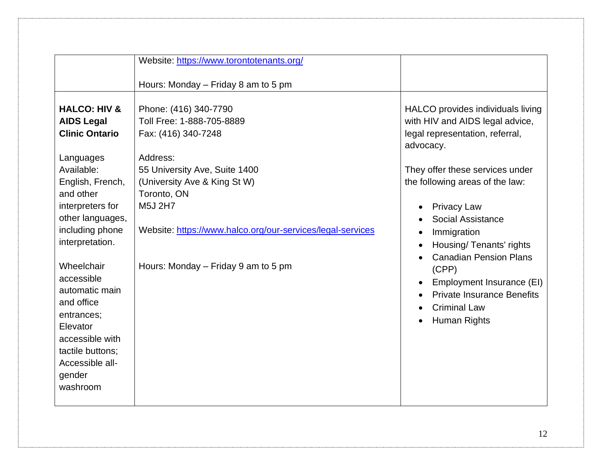|                                                                                                                                                                                                                                                                                        | Website: https://www.torontotenants.org/                                                                                                                                                                 |                                                                                                                                                                                                                                                                                                                         |
|----------------------------------------------------------------------------------------------------------------------------------------------------------------------------------------------------------------------------------------------------------------------------------------|----------------------------------------------------------------------------------------------------------------------------------------------------------------------------------------------------------|-------------------------------------------------------------------------------------------------------------------------------------------------------------------------------------------------------------------------------------------------------------------------------------------------------------------------|
|                                                                                                                                                                                                                                                                                        | Hours: Monday – Friday 8 am to 5 pm                                                                                                                                                                      |                                                                                                                                                                                                                                                                                                                         |
| <b>HALCO: HIV &amp;</b><br><b>AIDS Legal</b><br><b>Clinic Ontario</b>                                                                                                                                                                                                                  | Phone: (416) 340-7790<br>Toll Free: 1-888-705-8889<br>Fax: (416) 340-7248                                                                                                                                | HALCO provides individuals living<br>with HIV and AIDS legal advice,<br>legal representation, referral,<br>advocacy.                                                                                                                                                                                                    |
| Languages<br>Available:<br>English, French,<br>and other<br>interpreters for<br>other languages,<br>including phone<br>interpretation.<br>Wheelchair<br>accessible<br>automatic main<br>and office<br>entrances;<br>Elevator<br>accessible with<br>tactile buttons;<br>Accessible all- | Address:<br>55 University Ave, Suite 1400<br>(University Ave & King St W)<br>Toronto, ON<br>M5J 2H7<br>Website: https://www.halco.org/our-services/legal-services<br>Hours: Monday – Friday 9 am to 5 pm | They offer these services under<br>the following areas of the law:<br><b>Privacy Law</b><br>Social Assistance<br>Immigration<br>Housing/Tenants' rights<br><b>Canadian Pension Plans</b><br>(CPP)<br>Employment Insurance (EI)<br><b>Private Insurance Benefits</b><br><b>Criminal Law</b><br>Human Rights<br>$\bullet$ |
| gender<br>washroom                                                                                                                                                                                                                                                                     |                                                                                                                                                                                                          |                                                                                                                                                                                                                                                                                                                         |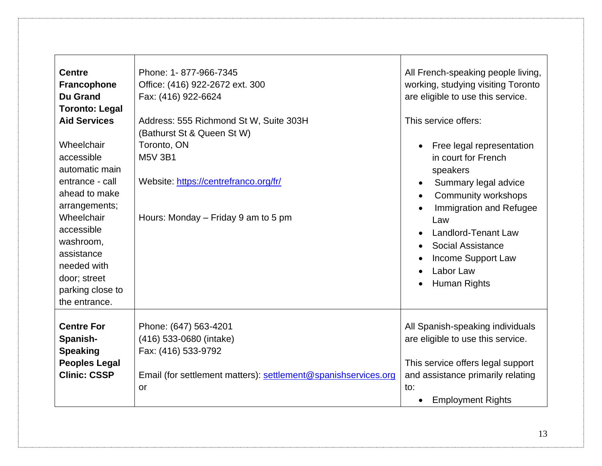| <b>Centre</b><br>Francophone<br><b>Du Grand</b><br><b>Toronto: Legal</b><br><b>Aid Services</b><br>Wheelchair<br>accessible<br>automatic main<br>entrance - call<br>ahead to make<br>arrangements;<br>Wheelchair<br>accessible<br>washroom,<br>assistance<br>needed with<br>door; street<br>parking close to<br>the entrance. | Phone: 1-877-966-7345<br>Office: (416) 922-2672 ext. 300<br>Fax: (416) 922-6624<br>Address: 555 Richmond St W, Suite 303H<br>(Bathurst St & Queen St W)<br>Toronto, ON<br><b>M5V 3B1</b><br>Website: https://centrefranco.org/fr/<br>Hours: Monday – Friday 9 am to 5 pm | All French-speaking people living,<br>working, studying visiting Toronto<br>are eligible to use this service.<br>This service offers:<br>Free legal representation<br>in court for French<br>speakers<br>Summary legal advice<br>Community workshops<br>$\bullet$<br>Immigration and Refugee<br>Law<br><b>Landlord-Tenant Law</b><br><b>Social Assistance</b><br>Income Support Law<br>Labor Law<br>Human Rights<br>$\bullet$ |
|-------------------------------------------------------------------------------------------------------------------------------------------------------------------------------------------------------------------------------------------------------------------------------------------------------------------------------|--------------------------------------------------------------------------------------------------------------------------------------------------------------------------------------------------------------------------------------------------------------------------|-------------------------------------------------------------------------------------------------------------------------------------------------------------------------------------------------------------------------------------------------------------------------------------------------------------------------------------------------------------------------------------------------------------------------------|
| <b>Centre For</b><br>Spanish-<br><b>Speaking</b><br><b>Peoples Legal</b><br><b>Clinic: CSSP</b>                                                                                                                                                                                                                               | Phone: (647) 563-4201<br>(416) 533-0680 (intake)<br>Fax: (416) 533-9792<br>Email (for settlement matters): settlement@spanishservices.org<br><b>or</b>                                                                                                                   | All Spanish-speaking individuals<br>are eligible to use this service.<br>This service offers legal support<br>and assistance primarily relating<br>to:<br><b>Employment Rights</b><br>$\bullet$                                                                                                                                                                                                                               |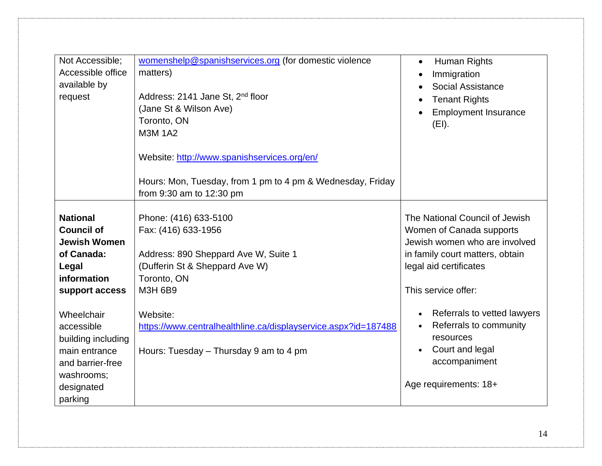| Not Accessible;<br>Accessible office<br>available by<br>request                                                            | womenshelp@spanishservices.org (for domestic violence<br>matters)<br>Address: 2141 Jane St, 2 <sup>nd</sup> floor<br>(Jane St & Wilson Ave)<br>Toronto, ON<br><b>M3M 1A2</b><br>Website: http://www.spanishservices.org/en/<br>Hours: Mon, Tuesday, from 1 pm to 4 pm & Wednesday, Friday<br>from 9:30 am to 12:30 pm | Human Rights<br>$\bullet$<br>Immigration<br>$\bullet$<br>Social Assistance<br><b>Tenant Rights</b><br><b>Employment Insurance</b><br>(EI).                                      |
|----------------------------------------------------------------------------------------------------------------------------|-----------------------------------------------------------------------------------------------------------------------------------------------------------------------------------------------------------------------------------------------------------------------------------------------------------------------|---------------------------------------------------------------------------------------------------------------------------------------------------------------------------------|
| <b>National</b><br><b>Council of</b><br><b>Jewish Women</b><br>of Canada:<br>Legal<br>information<br>support access        | Phone: (416) 633-5100<br>Fax: (416) 633-1956<br>Address: 890 Sheppard Ave W, Suite 1<br>(Dufferin St & Sheppard Ave W)<br>Toronto, ON<br><b>M3H 6B9</b>                                                                                                                                                               | The National Council of Jewish<br>Women of Canada supports<br>Jewish women who are involved<br>in family court matters, obtain<br>legal aid certificates<br>This service offer: |
| Wheelchair<br>accessible<br>building including<br>main entrance<br>and barrier-free<br>washrooms;<br>designated<br>parking | Website:<br>https://www.centralhealthline.ca/displayservice.aspx?id=187488<br>Hours: Tuesday – Thursday 9 am to 4 pm                                                                                                                                                                                                  | Referrals to vetted lawyers<br>$\bullet$<br>Referrals to community<br>$\bullet$<br>resources<br>Court and legal<br>$\bullet$<br>accompaniment<br>Age requirements: 18+          |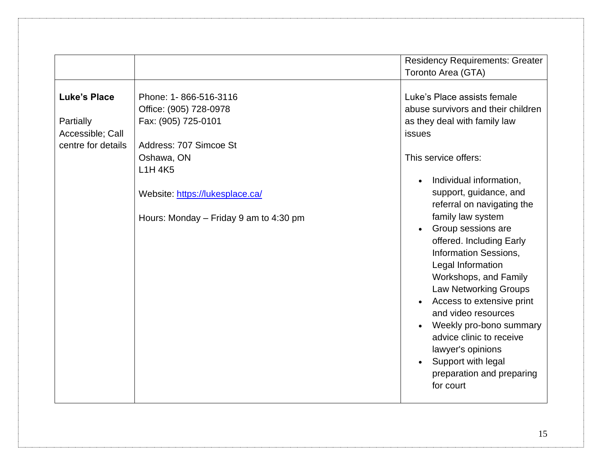|                                                                                                                                                                                                                                                                                                                 | <b>Residency Requirements: Greater</b><br>Toronto Area (GTA)                                                                                                                                                                                                                                                                                                                                                                                                                                                                                                                                                                    |
|-----------------------------------------------------------------------------------------------------------------------------------------------------------------------------------------------------------------------------------------------------------------------------------------------------------------|---------------------------------------------------------------------------------------------------------------------------------------------------------------------------------------------------------------------------------------------------------------------------------------------------------------------------------------------------------------------------------------------------------------------------------------------------------------------------------------------------------------------------------------------------------------------------------------------------------------------------------|
| <b>Luke's Place</b><br>Phone: 1-866-516-3116<br>Office: (905) 728-0978<br>Fax: (905) 725-0101<br>Partially<br>Accessible; Call<br>Address: 707 Simcoe St<br>centre for details<br>Oshawa, ON<br>L <sub>1</sub> H 4K <sub>5</sub><br>Website: https://lukesplace.ca/<br>Hours: Monday $-$ Friday 9 am to 4:30 pm | Luke's Place assists female<br>abuse survivors and their children<br>as they deal with family law<br><b>issues</b><br>This service offers:<br>Individual information,<br>$\bullet$<br>support, guidance, and<br>referral on navigating the<br>family law system<br>Group sessions are<br>offered. Including Early<br><b>Information Sessions,</b><br>Legal Information<br>Workshops, and Family<br><b>Law Networking Groups</b><br>Access to extensive print<br>and video resources<br>Weekly pro-bono summary<br>advice clinic to receive<br>lawyer's opinions<br>Support with legal<br>preparation and preparing<br>for court |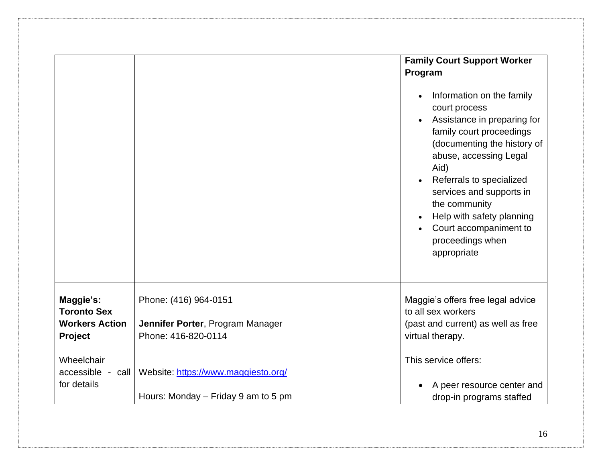|                                                                                   |                                                                                  | <b>Family Court Support Worker</b><br>Program<br>Information on the family<br>court process<br>Assistance in preparing for<br>family court proceedings<br>(documenting the history of<br>abuse, accessing Legal<br>Aid)<br>Referrals to specialized<br>services and supports in<br>the community<br>Help with safety planning |
|-----------------------------------------------------------------------------------|----------------------------------------------------------------------------------|-------------------------------------------------------------------------------------------------------------------------------------------------------------------------------------------------------------------------------------------------------------------------------------------------------------------------------|
| Maggie's:<br><b>Toronto Sex</b><br><b>Workers Action</b><br>Project<br>Wheelchair | Phone: (416) 964-0151<br>Jennifer Porter, Program Manager<br>Phone: 416-820-0114 | Court accompaniment to<br>proceedings when<br>appropriate<br>Maggie's offers free legal advice<br>to all sex workers<br>(past and current) as well as free<br>virtual therapy.<br>This service offers:                                                                                                                        |
| $accessible - call$<br>for details                                                | Website: https://www.maggiesto.org/<br>Hours: Monday – Friday 9 am to 5 pm       | A peer resource center and<br>drop-in programs staffed                                                                                                                                                                                                                                                                        |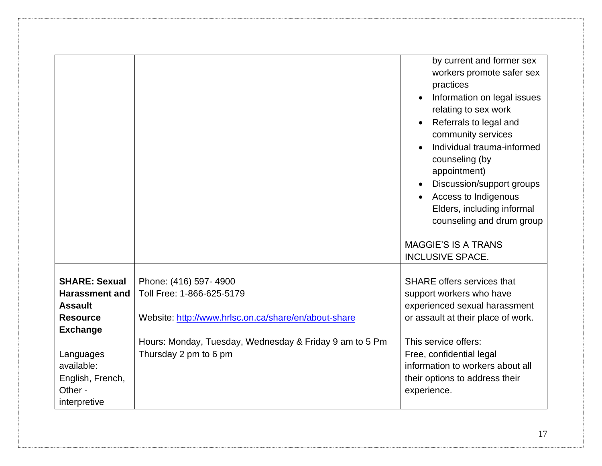|                       |                                                         | by current and former sex<br>workers promote safer sex<br>practices<br>Information on legal issues<br>relating to sex work<br>Referrals to legal and<br>community services<br>Individual trauma-informed<br>counseling (by<br>appointment)<br>Discussion/support groups<br>Access to Indigenous<br>Elders, including informal<br>counseling and drum group |
|-----------------------|---------------------------------------------------------|------------------------------------------------------------------------------------------------------------------------------------------------------------------------------------------------------------------------------------------------------------------------------------------------------------------------------------------------------------|
|                       |                                                         | <b>MAGGIE'S IS A TRANS</b><br><b>INCLUSIVE SPACE.</b>                                                                                                                                                                                                                                                                                                      |
|                       |                                                         |                                                                                                                                                                                                                                                                                                                                                            |
| <b>SHARE: Sexual</b>  | Phone: (416) 597-4900                                   | <b>SHARE offers services that</b>                                                                                                                                                                                                                                                                                                                          |
| <b>Harassment and</b> | Toll Free: 1-866-625-5179                               | support workers who have                                                                                                                                                                                                                                                                                                                                   |
| <b>Assault</b>        |                                                         | experienced sexual harassment                                                                                                                                                                                                                                                                                                                              |
| <b>Resource</b>       | Website: http://www.hrlsc.on.ca/share/en/about-share    | or assault at their place of work.                                                                                                                                                                                                                                                                                                                         |
| <b>Exchange</b>       |                                                         |                                                                                                                                                                                                                                                                                                                                                            |
|                       | Hours: Monday, Tuesday, Wednesday & Friday 9 am to 5 Pm | This service offers:                                                                                                                                                                                                                                                                                                                                       |
| Languages             | Thursday 2 pm to 6 pm                                   | Free, confidential legal                                                                                                                                                                                                                                                                                                                                   |
| available:            |                                                         | information to workers about all                                                                                                                                                                                                                                                                                                                           |
| English, French,      |                                                         | their options to address their                                                                                                                                                                                                                                                                                                                             |
| Other -               |                                                         | experience.                                                                                                                                                                                                                                                                                                                                                |
| interpretive          |                                                         |                                                                                                                                                                                                                                                                                                                                                            |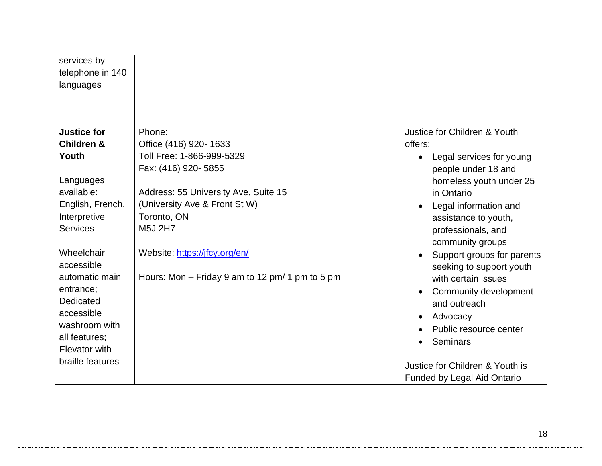| services by<br>telephone in 140<br>languages                                                                                                                                                                                                                                                               |                                                                                                                                                                                                                                                                            |                                                                                                                                                                                                                                                                                                                                                                                                                                                                                                   |
|------------------------------------------------------------------------------------------------------------------------------------------------------------------------------------------------------------------------------------------------------------------------------------------------------------|----------------------------------------------------------------------------------------------------------------------------------------------------------------------------------------------------------------------------------------------------------------------------|---------------------------------------------------------------------------------------------------------------------------------------------------------------------------------------------------------------------------------------------------------------------------------------------------------------------------------------------------------------------------------------------------------------------------------------------------------------------------------------------------|
| <b>Justice for</b><br><b>Children &amp;</b><br>Youth<br>Languages<br>available:<br>English, French,<br>Interpretive<br><b>Services</b><br>Wheelchair<br>accessible<br>automatic main<br>entrance;<br>Dedicated<br>accessible<br>washroom with<br>all features;<br><b>Elevator with</b><br>braille features | Phone:<br>Office (416) 920-1633<br>Toll Free: 1-866-999-5329<br>Fax: (416) 920-5855<br>Address: 55 University Ave, Suite 15<br>(University Ave & Front St W)<br>Toronto, ON<br>M5J 2H7<br>Website: https://jfcy.org/en/<br>Hours: Mon – Friday 9 am to 12 pm/ 1 pm to 5 pm | Justice for Children & Youth<br>offers:<br>Legal services for young<br>$\bullet$<br>people under 18 and<br>homeless youth under 25<br>in Ontario<br>Legal information and<br>$\bullet$<br>assistance to youth,<br>professionals, and<br>community groups<br>Support groups for parents<br>$\bullet$<br>seeking to support youth<br>with certain issues<br>Community development<br>and outreach<br>Advocacy<br>$\bullet$<br>Public resource center<br>Seminars<br>Justice for Children & Youth is |
|                                                                                                                                                                                                                                                                                                            |                                                                                                                                                                                                                                                                            | <b>Funded by Legal Aid Ontario</b>                                                                                                                                                                                                                                                                                                                                                                                                                                                                |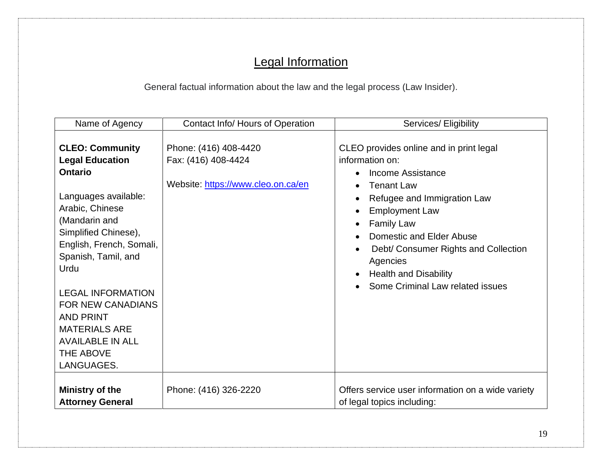# Legal Information

General factual information about the law and the legal process (Law Insider).

| Name of Agency                                                                                                                                                                                                                                                                                                                                                              | Contact Info/ Hours of Operation                                                   | Services/ Eligibility                                                                                                                                                                                                                                                                                                                 |
|-----------------------------------------------------------------------------------------------------------------------------------------------------------------------------------------------------------------------------------------------------------------------------------------------------------------------------------------------------------------------------|------------------------------------------------------------------------------------|---------------------------------------------------------------------------------------------------------------------------------------------------------------------------------------------------------------------------------------------------------------------------------------------------------------------------------------|
| <b>CLEO: Community</b><br><b>Legal Education</b><br><b>Ontario</b><br>Languages available:<br>Arabic, Chinese<br>(Mandarin and<br>Simplified Chinese),<br>English, French, Somali,<br>Spanish, Tamil, and<br>Urdu<br><b>LEGAL INFORMATION</b><br><b>FOR NEW CANADIANS</b><br><b>AND PRINT</b><br><b>MATERIALS ARE</b><br><b>AVAILABLE IN ALL</b><br>THE ABOVE<br>LANGUAGES. | Phone: (416) 408-4420<br>Fax: (416) 408-4424<br>Website: https://www.cleo.on.ca/en | CLEO provides online and in print legal<br>information on:<br>Income Assistance<br><b>Tenant Law</b><br>Refugee and Immigration Law<br><b>Employment Law</b><br><b>Family Law</b><br>Domestic and Elder Abuse<br>Debt/ Consumer Rights and Collection<br>Agencies<br><b>Health and Disability</b><br>Some Criminal Law related issues |
| Ministry of the<br><b>Attorney General</b>                                                                                                                                                                                                                                                                                                                                  | Phone: (416) 326-2220                                                              | Offers service user information on a wide variety<br>of legal topics including:                                                                                                                                                                                                                                                       |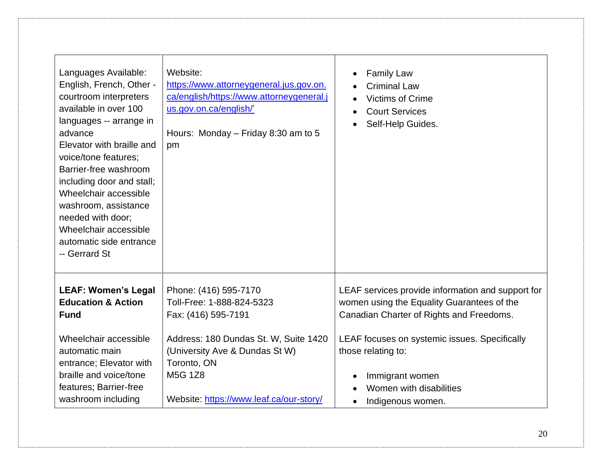| Languages Available:<br>English, French, Other -<br>courtroom interpreters<br>available in over 100<br>languages -- arrange in<br>advance<br>Elevator with braille and<br>voice/tone features;<br>Barrier-free washroom<br>including door and stall;<br>Wheelchair accessible<br>washroom, assistance<br>needed with door;<br>Wheelchair accessible<br>automatic side entrance<br>-- Gerrard St | Website:<br>https://www.attorneygeneral.jus.gov.on.<br>ca/english/https://www.attorneygeneral.j<br>us.gov.on.ca/english/'<br>Hours: Monday - Friday 8:30 am to 5<br>pm                                                    | <b>Family Law</b><br><b>Criminal Law</b><br><b>Victims of Crime</b><br><b>Court Services</b><br>Self-Help Guides.                                                                                                                                                                     |
|-------------------------------------------------------------------------------------------------------------------------------------------------------------------------------------------------------------------------------------------------------------------------------------------------------------------------------------------------------------------------------------------------|---------------------------------------------------------------------------------------------------------------------------------------------------------------------------------------------------------------------------|---------------------------------------------------------------------------------------------------------------------------------------------------------------------------------------------------------------------------------------------------------------------------------------|
| <b>LEAF: Women's Legal</b><br><b>Education &amp; Action</b><br><b>Fund</b><br>Wheelchair accessible<br>automatic main<br>entrance; Elevator with<br>braille and voice/tone<br>features; Barrier-free<br>washroom including                                                                                                                                                                      | Phone: (416) 595-7170<br>Toll-Free: 1-888-824-5323<br>Fax: (416) 595-7191<br>Address: 180 Dundas St. W, Suite 1420<br>(University Ave & Dundas St W)<br>Toronto, ON<br>M5G 1Z8<br>Website: https://www.leaf.ca/our-story/ | LEAF services provide information and support for<br>women using the Equality Guarantees of the<br>Canadian Charter of Rights and Freedoms.<br>LEAF focuses on systemic issues. Specifically<br>those relating to:<br>Immigrant women<br>Women with disabilities<br>Indigenous women. |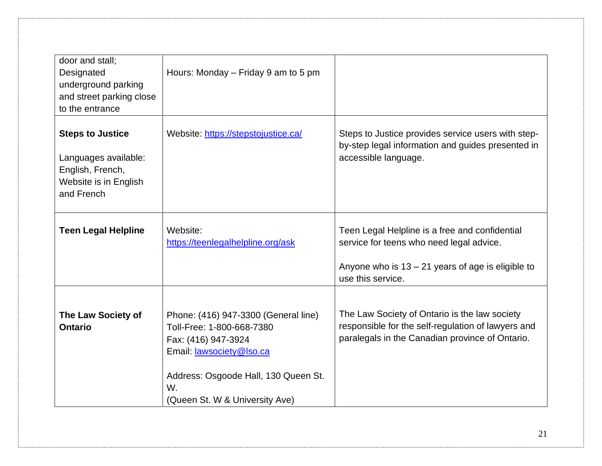| door and stall;<br>Designated<br>underground parking<br>and street parking close<br>to the entrance        | Hours: Monday – Friday 9 am to 5 pm                                                                                                                                                                          |                                                                                                                                                                        |
|------------------------------------------------------------------------------------------------------------|--------------------------------------------------------------------------------------------------------------------------------------------------------------------------------------------------------------|------------------------------------------------------------------------------------------------------------------------------------------------------------------------|
| <b>Steps to Justice</b><br>Languages available:<br>English, French,<br>Website is in English<br>and French | Website: https://stepstojustice.ca/                                                                                                                                                                          | Steps to Justice provides service users with step-<br>by-step legal information and guides presented in<br>accessible language.                                        |
| <b>Teen Legal Helpline</b>                                                                                 | Website:<br>https://teenlegalhelpline.org/ask                                                                                                                                                                | Teen Legal Helpline is a free and confidential<br>service for teens who need legal advice.<br>Anyone who is $13 - 21$ years of age is eligible to<br>use this service. |
| The Law Society of<br><b>Ontario</b>                                                                       | Phone: (416) 947-3300 (General line)<br>Toll-Free: 1-800-668-7380<br>Fax: (416) 947-3924<br>Email: <b>lawsociety</b> @lso.ca<br>Address: Osgoode Hall, 130 Queen St.<br>W.<br>(Queen St. W & University Ave) | The Law Society of Ontario is the law society<br>responsible for the self-regulation of lawyers and<br>paralegals in the Canadian province of Ontario.                 |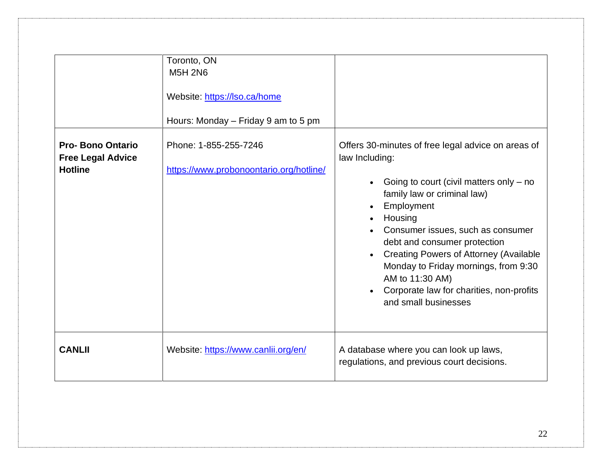|                                                                       | Toronto, ON<br><b>M5H 2N6</b><br>Website: https://lso.ca/home<br>Hours: Monday – Friday 9 am to 5 pm |                                                                                                                                                                                                                                                                                                                                                                                                                                |
|-----------------------------------------------------------------------|------------------------------------------------------------------------------------------------------|--------------------------------------------------------------------------------------------------------------------------------------------------------------------------------------------------------------------------------------------------------------------------------------------------------------------------------------------------------------------------------------------------------------------------------|
| <b>Pro-Bono Ontario</b><br><b>Free Legal Advice</b><br><b>Hotline</b> | Phone: 1-855-255-7246<br>https://www.probonoontario.org/hotline/                                     | Offers 30-minutes of free legal advice on areas of<br>law Including:<br>Going to court (civil matters only $-$ no<br>family law or criminal law)<br>Employment<br>Housing<br>Consumer issues, such as consumer<br>debt and consumer protection<br><b>Creating Powers of Attorney (Available</b><br>Monday to Friday mornings, from 9:30<br>AM to 11:30 AM)<br>Corporate law for charities, non-profits<br>and small businesses |
| <b>CANLII</b>                                                         | Website: https://www.canlii.org/en/                                                                  | A database where you can look up laws,<br>regulations, and previous court decisions.                                                                                                                                                                                                                                                                                                                                           |